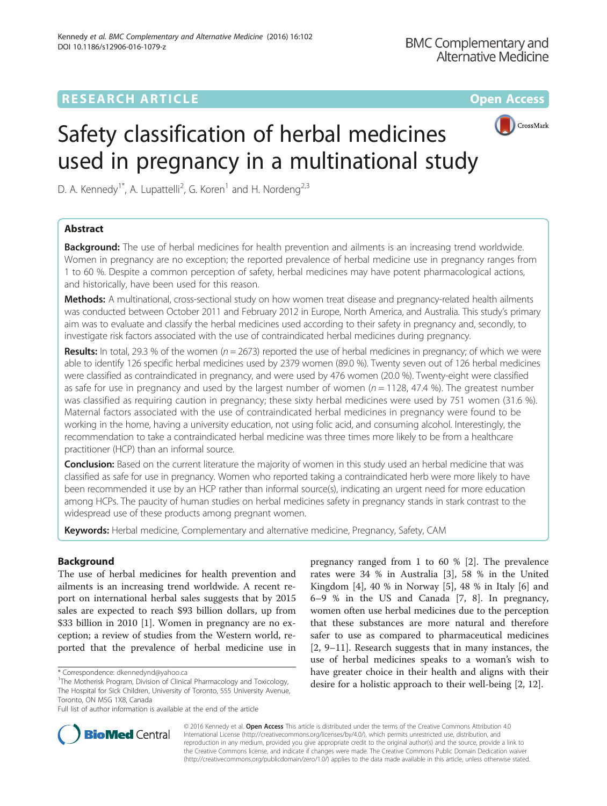# **RESEARCH ARTICLE External Structure Community Community Community Community Community Community Community Community**



# Safety classification of herbal medicines used in pregnancy in a multinational study

D. A. Kennedy<sup>1\*</sup>, A. Lupattelli<sup>2</sup>, G. Koren<sup>1</sup> and H. Nordeng<sup>2,3</sup>

# Abstract

**Background:** The use of herbal medicines for health prevention and ailments is an increasing trend worldwide. Women in pregnancy are no exception; the reported prevalence of herbal medicine use in pregnancy ranges from 1 to 60 %. Despite a common perception of safety, herbal medicines may have potent pharmacological actions, and historically, have been used for this reason.

Methods: A multinational, cross-sectional study on how women treat disease and pregnancy-related health ailments was conducted between October 2011 and February 2012 in Europe, North America, and Australia. This study's primary aim was to evaluate and classify the herbal medicines used according to their safety in pregnancy and, secondly, to investigate risk factors associated with the use of contraindicated herbal medicines during pregnancy.

**Results:** In total, 29.3 % of the women ( $n = 2673$ ) reported the use of herbal medicines in pregnancy; of which we were able to identify 126 specific herbal medicines used by 2379 women (89.0 %). Twenty seven out of 126 herbal medicines were classified as contraindicated in pregnancy, and were used by 476 women (20.0 %). Twenty-eight were classified as safe for use in pregnancy and used by the largest number of women  $(n = 1128, 47.4 \%)$ . The greatest number was classified as requiring caution in pregnancy; these sixty herbal medicines were used by 751 women (31.6 %). Maternal factors associated with the use of contraindicated herbal medicines in pregnancy were found to be working in the home, having a university education, not using folic acid, and consuming alcohol. Interestingly, the recommendation to take a contraindicated herbal medicine was three times more likely to be from a healthcare practitioner (HCP) than an informal source.

**Conclusion:** Based on the current literature the majority of women in this study used an herbal medicine that was classified as safe for use in pregnancy. Women who reported taking a contraindicated herb were more likely to have been recommended it use by an HCP rather than informal source(s), indicating an urgent need for more education among HCPs. The paucity of human studies on herbal medicines safety in pregnancy stands in stark contrast to the widespread use of these products among pregnant women.

Keywords: Herbal medicine, Complementary and alternative medicine, Pregnancy, Safety, CAM

# Background

The use of herbal medicines for health prevention and ailments is an increasing trend worldwide. A recent report on international herbal sales suggests that by 2015 sales are expected to reach \$93 billion dollars, up from \$33 billion in 2010 [\[1](#page-7-0)]. Women in pregnancy are no exception; a review of studies from the Western world, reported that the prevalence of herbal medicine use in

pregnancy ranged from 1 to 60 % [[2](#page-7-0)]. The prevalence rates were 34 % in Australia [\[3\]](#page-7-0), 58 % in the United Kingdom [\[4](#page-7-0)], 40 % in Norway [[5](#page-7-0)], 48 % in Italy [[6\]](#page-7-0) and 6–9 % in the US and Canada [[7, 8\]](#page-7-0). In pregnancy, women often use herbal medicines due to the perception that these substances are more natural and therefore safer to use as compared to pharmaceutical medicines [[2, 9](#page-7-0)–[11](#page-7-0)]. Research suggests that in many instances, the use of herbal medicines speaks to a woman's wish to have greater choice in their health and aligns with their desire for a holistic approach to their well-being [\[2](#page-7-0), [12](#page-7-0)].



© 2016 Kennedy et al. Open Access This article is distributed under the terms of the Creative Commons Attribution 4.0 International License [\(http://creativecommons.org/licenses/by/4.0/](http://creativecommons.org/licenses/by/4.0/)), which permits unrestricted use, distribution, and reproduction in any medium, provided you give appropriate credit to the original author(s) and the source, provide a link to the Creative Commons license, and indicate if changes were made. The Creative Commons Public Domain Dedication waiver [\(http://creativecommons.org/publicdomain/zero/1.0/](http://creativecommons.org/publicdomain/zero/1.0/)) applies to the data made available in this article, unless otherwise stated.

<sup>\*</sup> Correspondence: [dkennedynd@yahoo.ca](mailto:dkennedynd@yahoo.ca) <sup>1</sup>

<sup>&</sup>lt;sup>1</sup>The Motherisk Program, Division of Clinical Pharmacology and Toxicology, The Hospital for Sick Children, University of Toronto, 555 University Avenue, Toronto, ON M5G 1X8, Canada

Full list of author information is available at the end of the article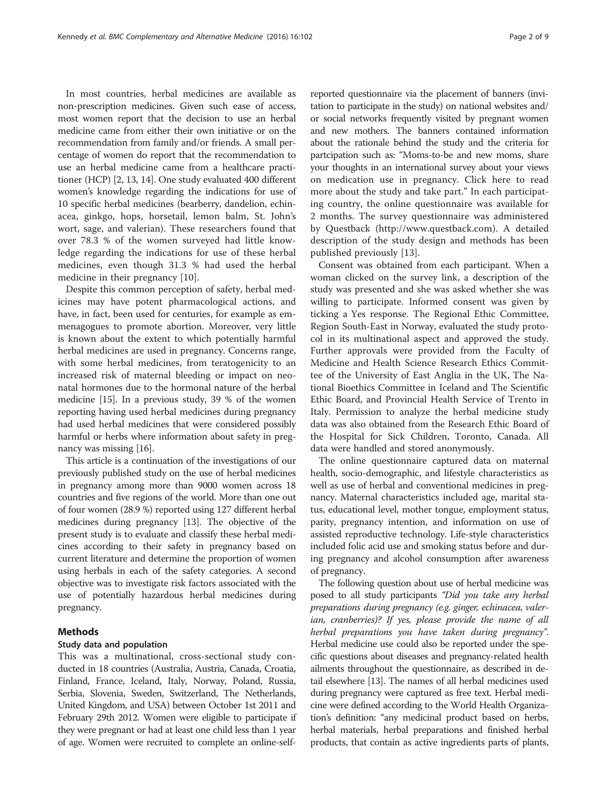In most countries, herbal medicines are available as non-prescription medicines. Given such ease of access, most women report that the decision to use an herbal medicine came from either their own initiative or on the recommendation from family and/or friends. A small percentage of women do report that the recommendation to use an herbal medicine came from a healthcare practitioner (HCP) [\[2](#page-7-0), [13, 14\]](#page-7-0). One study evaluated 400 different women's knowledge regarding the indications for use of 10 specific herbal medicines (bearberry, dandelion, echinacea, ginkgo, hops, horsetail, lemon balm, St. John's wort, sage, and valerian). These researchers found that over 78.3 % of the women surveyed had little knowledge regarding the indications for use of these herbal medicines, even though 31.3 % had used the herbal medicine in their pregnancy [\[10](#page-7-0)].

Despite this common perception of safety, herbal medicines may have potent pharmacological actions, and have, in fact, been used for centuries, for example as emmenagogues to promote abortion. Moreover, very little is known about the extent to which potentially harmful herbal medicines are used in pregnancy. Concerns range, with some herbal medicines, from teratogenicity to an increased risk of maternal bleeding or impact on neonatal hormones due to the hormonal nature of the herbal medicine [\[15](#page-7-0)]. In a previous study, 39 % of the women reporting having used herbal medicines during pregnancy had used herbal medicines that were considered possibly harmful or herbs where information about safety in pregnancy was missing [[16](#page-7-0)].

This article is a continuation of the investigations of our previously published study on the use of herbal medicines in pregnancy among more than 9000 women across 18 countries and five regions of the world. More than one out of four women (28.9 %) reported using 127 different herbal medicines during pregnancy [\[13\]](#page-7-0). The objective of the present study is to evaluate and classify these herbal medicines according to their safety in pregnancy based on current literature and determine the proportion of women using herbals in each of the safety categories. A second objective was to investigate risk factors associated with the use of potentially hazardous herbal medicines during pregnancy.

#### Methods

#### Study data and population

This was a multinational, cross-sectional study conducted in 18 countries (Australia, Austria, Canada, Croatia, Finland, France, Iceland, Italy, Norway, Poland, Russia, Serbia, Slovenia, Sweden, Switzerland, The Netherlands, United Kingdom, and USA) between October 1st 2011 and February 29th 2012. Women were eligible to participate if they were pregnant or had at least one child less than 1 year of age. Women were recruited to complete an online-self-

reported questionnaire via the placement of banners (invitation to participate in the study) on national websites and/ or social networks frequently visited by pregnant women and new mothers. The banners contained information about the rationale behind the study and the criteria for partcipation such as: "Moms-to-be and new moms, share your thoughts in an international survey about your views on medication use in pregnancy. Click here to read more about the study and take part." In each participating country, the online questionnaire was available for 2 months. The survey questionnaire was administered by Questback (<http://www.questback.com>). A detailed description of the study design and methods has been published previously [[13\]](#page-7-0).

Consent was obtained from each participant. When a woman clicked on the survey link, a description of the study was presented and she was asked whether she was willing to participate. Informed consent was given by ticking a Yes response. The Regional Ethic Committee, Region South-East in Norway, evaluated the study protocol in its multinational aspect and approved the study. Further approvals were provided from the Faculty of Medicine and Health Science Research Ethics Committee of the University of East Anglia in the UK, The National Bioethics Committee in Iceland and The Scientific Ethic Board, and Provincial Health Service of Trento in Italy. Permission to analyze the herbal medicine study data was also obtained from the Research Ethic Board of the Hospital for Sick Children, Toronto, Canada. All data were handled and stored anonymously.

The online questionnaire captured data on maternal health, socio-demographic, and lifestyle characteristics as well as use of herbal and conventional medicines in pregnancy. Maternal characteristics included age, marital status, educational level, mother tongue, employment status, parity, pregnancy intention, and information on use of assisted reproductive technology. Life-style characteristics included folic acid use and smoking status before and during pregnancy and alcohol consumption after awareness of pregnancy.

The following question about use of herbal medicine was posed to all study participants "Did you take any herbal preparations during pregnancy (e.g. ginger, echinacea, valerian, cranberries)? If yes, please provide the name of all herbal preparations you have taken during pregnancy". Herbal medicine use could also be reported under the specific questions about diseases and pregnancy-related health ailments throughout the questionnaire, as described in detail elsewhere [[13](#page-7-0)]. The names of all herbal medicines used during pregnancy were captured as free text. Herbal medicine were defined according to the World Health Organization's definition: "any medicinal product based on herbs, herbal materials, herbal preparations and finished herbal products, that contain as active ingredients parts of plants,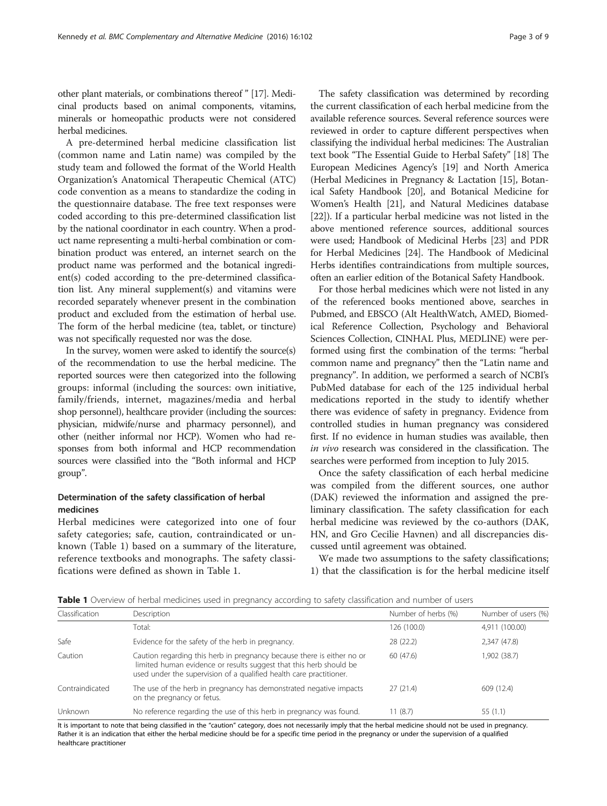<span id="page-2-0"></span>other plant materials, or combinations thereof " [\[17\]](#page-7-0). Medicinal products based on animal components, vitamins, minerals or homeopathic products were not considered herbal medicines.

A pre-determined herbal medicine classification list (common name and Latin name) was compiled by the study team and followed the format of the World Health Organization's Anatomical Therapeutic Chemical (ATC) code convention as a means to standardize the coding in the questionnaire database. The free text responses were coded according to this pre-determined classification list by the national coordinator in each country. When a product name representing a multi-herbal combination or combination product was entered, an internet search on the product name was performed and the botanical ingredient(s) coded according to the pre-determined classification list. Any mineral supplement(s) and vitamins were recorded separately whenever present in the combination product and excluded from the estimation of herbal use. The form of the herbal medicine (tea, tablet, or tincture) was not specifically requested nor was the dose.

In the survey, women were asked to identify the source(s) of the recommendation to use the herbal medicine. The reported sources were then categorized into the following groups: informal (including the sources: own initiative, family/friends, internet, magazines/media and herbal shop personnel), healthcare provider (including the sources: physician, midwife/nurse and pharmacy personnel), and other (neither informal nor HCP). Women who had responses from both informal and HCP recommendation sources were classified into the "Both informal and HCP group".

# Determination of the safety classification of herbal medicines

Herbal medicines were categorized into one of four safety categories; safe, caution, contraindicated or unknown (Table 1) based on a summary of the literature, reference textbooks and monographs. The safety classifications were defined as shown in Table 1.

The safety classification was determined by recording the current classification of each herbal medicine from the available reference sources. Several reference sources were reviewed in order to capture different perspectives when classifying the individual herbal medicines: The Australian text book "The Essential Guide to Herbal Safety" [\[18\]](#page-7-0) The European Medicines Agency's [\[19\]](#page-7-0) and North America (Herbal Medicines in Pregnancy & Lactation [\[15\]](#page-7-0), Botanical Safety Handbook [[20](#page-7-0)], and Botanical Medicine for Women's Health [[21](#page-7-0)], and Natural Medicines database [[22](#page-7-0)]). If a particular herbal medicine was not listed in the above mentioned reference sources, additional sources were used; Handbook of Medicinal Herbs [[23](#page-7-0)] and PDR for Herbal Medicines [[24](#page-7-0)]. The Handbook of Medicinal Herbs identifies contraindications from multiple sources, often an earlier edition of the Botanical Safety Handbook.

For those herbal medicines which were not listed in any of the referenced books mentioned above, searches in Pubmed, and EBSCO (Alt HealthWatch, AMED, Biomedical Reference Collection, Psychology and Behavioral Sciences Collection, CINHAL Plus, MEDLINE) were performed using first the combination of the terms: "herbal common name and pregnancy" then the "Latin name and pregnancy". In addition, we performed a search of NCBI's PubMed database for each of the 125 individual herbal medications reported in the study to identify whether there was evidence of safety in pregnancy. Evidence from controlled studies in human pregnancy was considered first. If no evidence in human studies was available, then in vivo research was considered in the classification. The searches were performed from inception to July 2015.

Once the safety classification of each herbal medicine was compiled from the different sources, one author (DAK) reviewed the information and assigned the preliminary classification. The safety classification for each herbal medicine was reviewed by the co-authors (DAK, HN, and Gro Cecilie Havnen) and all discrepancies discussed until agreement was obtained.

We made two assumptions to the safety classifications; 1) that the classification is for the herbal medicine itself

Table 1 Overview of herbal medicines used in pregnancy according to safety classification and number of users

| Classification  | Description                                                                                                                                                                                                         | Number of herbs (%) | Number of users (%) |  |
|-----------------|---------------------------------------------------------------------------------------------------------------------------------------------------------------------------------------------------------------------|---------------------|---------------------|--|
|                 | Total:                                                                                                                                                                                                              | 126 (100.0)         | 4,911 (100.00)      |  |
| Safe            | Evidence for the safety of the herb in pregnancy.                                                                                                                                                                   | 28 (22.2)           | 2,347 (47.8)        |  |
| Caution         | Caution regarding this herb in pregnancy because there is either no or<br>limited human evidence or results suggest that this herb should be<br>used under the supervision of a qualified health care practitioner. | 60 (47.6)           | 1,902 (38.7)        |  |
| Contraindicated | The use of the herb in pregnancy has demonstrated negative impacts<br>on the pregnancy or fetus.                                                                                                                    | 27(21.4)            | 609 (12.4)          |  |
| Unknown         | No reference regarding the use of this herb in pregnancy was found.                                                                                                                                                 | 11(8.7)             | 55(1.1)             |  |

It is important to note that being classified in the "caution" category, does not necessarily imply that the herbal medicine should not be used in pregnancy. Rather it is an indication that either the herbal medicine should be for a specific time period in the pregnancy or under the supervision of a qualified healthcare practitioner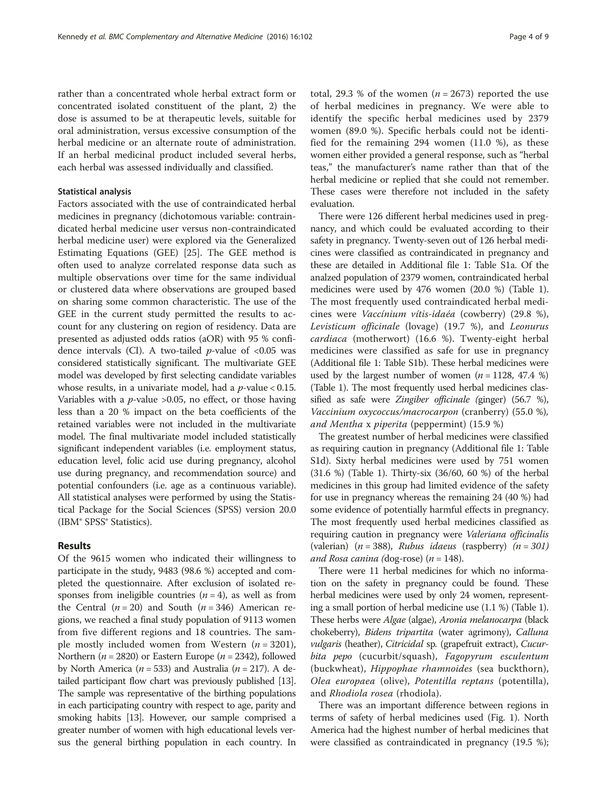rather than a concentrated whole herbal extract form or concentrated isolated constituent of the plant, 2) the dose is assumed to be at therapeutic levels, suitable for oral administration, versus excessive consumption of the herbal medicine or an alternate route of administration. If an herbal medicinal product included several herbs, each herbal was assessed individually and classified.

#### Statistical analysis

Factors associated with the use of contraindicated herbal medicines in pregnancy (dichotomous variable: contraindicated herbal medicine user versus non-contraindicated herbal medicine user) were explored via the Generalized Estimating Equations (GEE) [\[25](#page-7-0)]. The GEE method is often used to analyze correlated response data such as multiple observations over time for the same individual or clustered data where observations are grouped based on sharing some common characteristic. The use of the GEE in the current study permitted the results to account for any clustering on region of residency. Data are presented as adjusted odds ratios (aOR) with 95 % confidence intervals (CI). A two-tailed  $p$ -value of <0.05 was considered statistically significant. The multivariate GEE model was developed by first selecting candidate variables whose results, in a univariate model, had a  $p$ -value < 0.15. Variables with a  $p$ -value >0.05, no effect, or those having less than a 20 % impact on the beta coefficients of the retained variables were not included in the multivariate model. The final multivariate model included statistically significant independent variables (i.e. employment status, education level, folic acid use during pregnancy, alcohol use during pregnancy, and recommendation source) and potential confounders (i.e. age as a continuous variable). All statistical analyses were performed by using the Statistical Package for the Social Sciences (SPSS) version 20.0 (IBM® SPSS® Statistics).

## Results

Of the 9615 women who indicated their willingness to participate in the study, 9483 (98.6 %) accepted and completed the questionnaire. After exclusion of isolated responses from ineligible countries  $(n = 4)$ , as well as from the Central  $(n = 20)$  and South  $(n = 346)$  American regions, we reached a final study population of 9113 women from five different regions and 18 countries. The sample mostly included women from Western  $(n = 3201)$ , Northern ( $n = 2820$ ) or Eastern Europe ( $n = 2342$ ), followed by North America ( $n = 533$ ) and Australia ( $n = 217$ ). A detailed participant flow chart was previously published [\[13](#page-7-0)]. The sample was representative of the birthing populations in each participating country with respect to age, parity and smoking habits [\[13](#page-7-0)]. However, our sample comprised a greater number of women with high educational levels versus the general birthing population in each country. In total, 29.3 % of the women ( $n = 2673$ ) reported the use of herbal medicines in pregnancy. We were able to identify the specific herbal medicines used by 2379 women (89.0 %). Specific herbals could not be identified for the remaining 294 women (11.0 %), as these women either provided a general response, such as "herbal teas," the manufacturer's name rather than that of the herbal medicine or replied that she could not remember. These cases were therefore not included in the safety evaluation.

There were 126 different herbal medicines used in pregnancy, and which could be evaluated according to their safety in pregnancy. Twenty-seven out of 126 herbal medicines were classified as contraindicated in pregnancy and these are detailed in Additional file [1:](#page-7-0) Table S1a. Of the analzed population of 2379 women, contraindicated herbal medicines were used by 476 women (20.0 %) (Table [1](#page-2-0)). The most frequently used contraindicated herbal medicines were Vaccínium vítis-idaéa (cowberry) (29.8 %), Levisticum officinale (lovage) (19.7 %), and Leonurus cardiaca (motherwort) (16.6 %). Twenty-eight herbal medicines were classified as safe for use in pregnancy (Additional file [1:](#page-7-0) Table S1b). These herbal medicines were used by the largest number of women  $(n = 1128, 47.4 \%)$ (Table [1\)](#page-2-0). The most frequently used herbal medicines classified as safe were Zingiber officinale (ginger) (56.7 %), Vaccinium oxycoccus/macrocarpon (cranberry) (55.0 %), and Mentha x piperita (peppermint) (15.9 %)

The greatest number of herbal medicines were classified as requiring caution in pregnancy (Additional file [1:](#page-7-0) Table S1d). Sixty herbal medicines were used by 751 women (31.6 %) (Table [1](#page-2-0)). Thirty-six (36/60, 60 %) of the herbal medicines in this group had limited evidence of the safety for use in pregnancy whereas the remaining 24 (40 %) had some evidence of potentially harmful effects in pregnancy. The most frequently used herbal medicines classified as requiring caution in pregnancy were Valeriana officinalis (valerian) ( $n = 388$ ), Rubus idaeus (raspberry) ( $n = 301$ ) and Rosa canina (dog-rose)  $(n = 148)$ .

There were 11 herbal medicines for which no information on the safety in pregnancy could be found. These herbal medicines were used by only 24 women, representing a small portion of herbal medicine use (1.1 %) (Table [1](#page-2-0)). These herbs were *Algae* (algae), *Aronia melanocarpa* (black chokeberry), Bidens tripartita (water agrimony), Calluna vulgaris (heather), Citricidal sp. (grapefruit extract), Cucurbita pepo (cucurbit/squash), Fagopyrum esculentum (buckwheat), Hippophae rhamnoides (sea buckthorn), Olea europaea (olive), Potentilla reptans (potentilla), and Rhodiola rosea (rhodiola).

There was an important difference between regions in terms of safety of herbal medicines used (Fig. [1\)](#page-4-0). North America had the highest number of herbal medicines that were classified as contraindicated in pregnancy (19.5 %);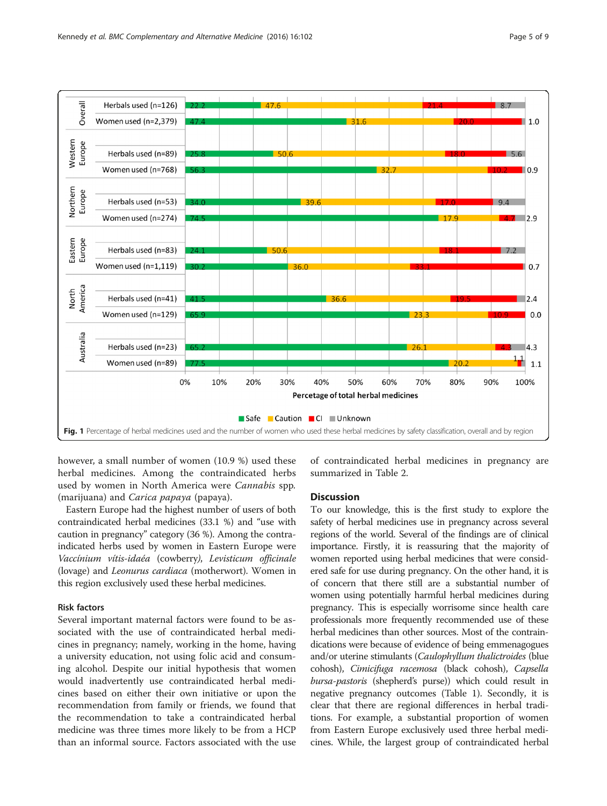<span id="page-4-0"></span>

however, a small number of women (10.9 %) used these herbal medicines. Among the contraindicated herbs used by women in North America were Cannabis spp. (marijuana) and Carica papaya (papaya).

Eastern Europe had the highest number of users of both contraindicated herbal medicines (33.1 %) and "use with caution in pregnancy" category (36 %). Among the contraindicated herbs used by women in Eastern Europe were Vaccínium vítis-idaéa (cowberry), Levisticum officinale (lovage) and Leonurus cardiaca (motherwort). Women in this region exclusively used these herbal medicines.

### Risk factors

Several important maternal factors were found to be associated with the use of contraindicated herbal medicines in pregnancy; namely, working in the home, having a university education, not using folic acid and consuming alcohol. Despite our initial hypothesis that women would inadvertently use contraindicated herbal medicines based on either their own initiative or upon the recommendation from family or friends, we found that the recommendation to take a contraindicated herbal medicine was three times more likely to be from a HCP than an informal source. Factors associated with the use of contraindicated herbal medicines in pregnancy are summarized in Table [2](#page-5-0).

#### **Discussion**

To our knowledge, this is the first study to explore the safety of herbal medicines use in pregnancy across several regions of the world. Several of the findings are of clinical importance. Firstly, it is reassuring that the majority of women reported using herbal medicines that were considered safe for use during pregnancy. On the other hand, it is of concern that there still are a substantial number of women using potentially harmful herbal medicines during pregnancy. This is especially worrisome since health care professionals more frequently recommended use of these herbal medicines than other sources. Most of the contraindications were because of evidence of being emmenagogues and/or uterine stimulants (*Caulophyllum thalictroides* (blue cohosh), Cimicifuga racemosa (black cohosh), Capsella bursa-pastoris (shepherd's purse)) which could result in negative pregnancy outcomes (Table [1](#page-2-0)). Secondly, it is clear that there are regional differences in herbal traditions. For example, a substantial proportion of women from Eastern Europe exclusively used three herbal medicines. While, the largest group of contraindicated herbal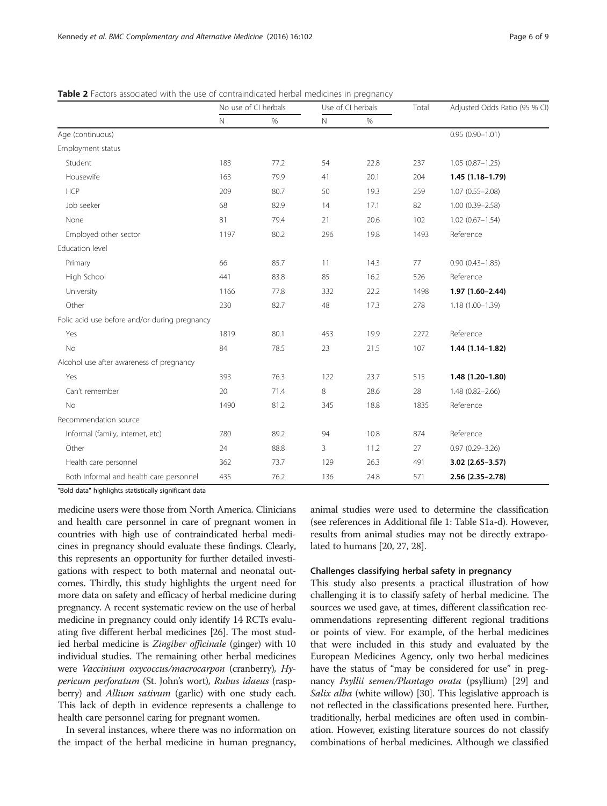|                                               | No use of CI herbals |      | Use of CI herbals |      | Total | Adjusted Odds Ratio (95 % CI) |
|-----------------------------------------------|----------------------|------|-------------------|------|-------|-------------------------------|
|                                               | N                    | %    | $\mathbb N$       | $\%$ |       |                               |
| Age (continuous)                              |                      |      |                   |      |       | $0.95(0.90 - 1.01)$           |
| Employment status                             |                      |      |                   |      |       |                               |
| Student                                       | 183                  | 77.2 | 54                | 22.8 | 237   | $1.05(0.87 - 1.25)$           |
| Housewife                                     | 163                  | 79.9 | 41                | 20.1 | 204   | $1.45(1.18-1.79)$             |
| <b>HCP</b>                                    | 209                  | 80.7 | 50                | 19.3 | 259   | $1.07(0.55 - 2.08)$           |
| Job seeker                                    | 68                   | 82.9 | 14                | 17.1 | 82    | $1.00(0.39 - 2.58)$           |
| None                                          | 81                   | 79.4 | 21                | 20.6 | 102   | $1.02(0.67 - 1.54)$           |
| Employed other sector                         | 1197                 | 80.2 | 296               | 19.8 | 1493  | Reference                     |
| Education level                               |                      |      |                   |      |       |                               |
| Primary                                       | 66                   | 85.7 | 11                | 14.3 | 77    | $0.90(0.43 - 1.85)$           |
| High School                                   | 441                  | 83.8 | 85                | 16.2 | 526   | Reference                     |
| University                                    | 1166                 | 77.8 | 332               | 22.2 | 1498  | $1.97(1.60 - 2.44)$           |
| Other                                         | 230                  | 82.7 | 48                | 17.3 | 278   | $1.18(1.00 - 1.39)$           |
| Folic acid use before and/or during pregnancy |                      |      |                   |      |       |                               |
| Yes                                           | 1819                 | 80.1 | 453               | 19.9 | 2272  | Reference                     |
| <b>No</b>                                     | 84                   | 78.5 | 23                | 21.5 | 107   | $1.44(1.14-1.82)$             |
| Alcohol use after awareness of pregnancy      |                      |      |                   |      |       |                               |
| Yes                                           | 393                  | 76.3 | 122               | 23.7 | 515   | $1.48(1.20-1.80)$             |
| Can't remember                                | 20                   | 71.4 | 8                 | 28.6 | 28    | $1.48(0.82 - 2.66)$           |
| <b>No</b>                                     | 1490                 | 81.2 | 345               | 18.8 | 1835  | Reference                     |
| Recommendation source                         |                      |      |                   |      |       |                               |
| Informal (family, internet, etc)              | 780                  | 89.2 | 94                | 10.8 | 874   | Reference                     |
| Other                                         | 24                   | 88.8 | 3                 | 11.2 | 27    | $0.97(0.29 - 3.26)$           |
| Health care personnel                         | 362                  | 73.7 | 129               | 26.3 | 491   | $3.02$ (2.65-3.57)            |
| Both Informal and health care personnel       | 435                  | 76.2 | 136               | 24.8 | 571   | $2.56(2.35-2.78)$             |

<span id="page-5-0"></span>Table 2 Factors associated with the use of contraindicated herbal medicines in pregnancy

"Bold data" highlights statistically significant data

medicine users were those from North America. Clinicians and health care personnel in care of pregnant women in countries with high use of contraindicated herbal medicines in pregnancy should evaluate these findings. Clearly, this represents an opportunity for further detailed investigations with respect to both maternal and neonatal outcomes. Thirdly, this study highlights the urgent need for more data on safety and efficacy of herbal medicine during pregnancy. A recent systematic review on the use of herbal medicine in pregnancy could only identify 14 RCTs evaluating five different herbal medicines [\[26\]](#page-7-0). The most studied herbal medicine is Zingiber officinale (ginger) with 10 individual studies. The remaining other herbal medicines were Vaccinium oxycoccus/macrocarpon (cranberry), Hypericum perforatum (St. John's wort), Rubus idaeus (raspberry) and Allium sativum (garlic) with one study each. This lack of depth in evidence represents a challenge to health care personnel caring for pregnant women.

In several instances, where there was no information on the impact of the herbal medicine in human pregnancy, animal studies were used to determine the classification (see references in Additional file [1](#page-7-0): Table S1a-d). However, results from animal studies may not be directly extrapolated to humans [\[20, 27](#page-7-0), [28](#page-8-0)].

# Challenges classifying herbal safety in pregnancy

This study also presents a practical illustration of how challenging it is to classify safety of herbal medicine. The sources we used gave, at times, different classification recommendations representing different regional traditions or points of view. For example, of the herbal medicines that were included in this study and evaluated by the European Medicines Agency, only two herbal medicines have the status of "may be considered for use" in pregnancy Psyllii semen/Plantago ovata (psyllium) [\[29\]](#page-8-0) and Salix alba (white willow) [[30\]](#page-8-0). This legislative approach is not reflected in the classifications presented here. Further, traditionally, herbal medicines are often used in combination. However, existing literature sources do not classify combinations of herbal medicines. Although we classified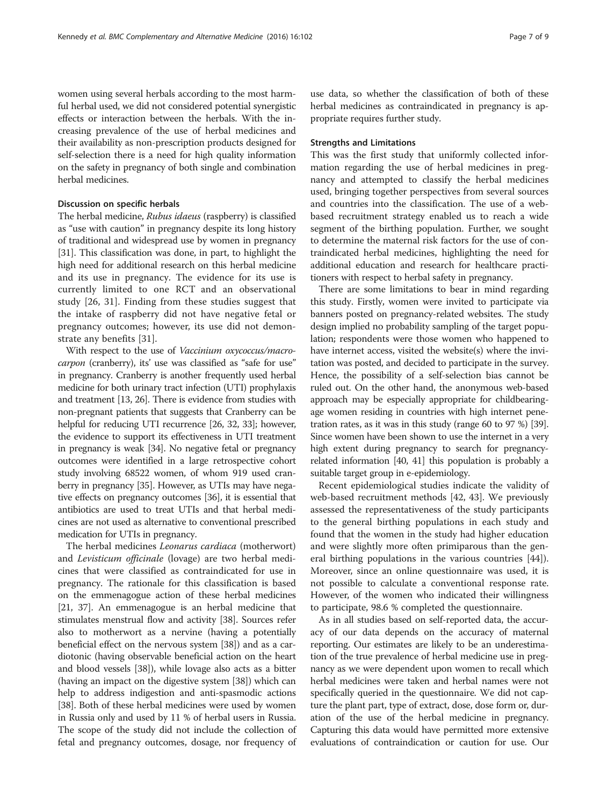women using several herbals according to the most harmful herbal used, we did not considered potential synergistic effects or interaction between the herbals. With the increasing prevalence of the use of herbal medicines and their availability as non-prescription products designed for self-selection there is a need for high quality information on the safety in pregnancy of both single and combination herbal medicines.

# Discussion on specific herbals

The herbal medicine, Rubus idaeus (raspberry) is classified as "use with caution" in pregnancy despite its long history of traditional and widespread use by women in pregnancy [[31](#page-8-0)]. This classification was done, in part, to highlight the high need for additional research on this herbal medicine and its use in pregnancy. The evidence for its use is currently limited to one RCT and an observational study [\[26](#page-7-0), [31](#page-8-0)]. Finding from these studies suggest that the intake of raspberry did not have negative fetal or pregnancy outcomes; however, its use did not demonstrate any benefits [[31\]](#page-8-0).

With respect to the use of Vaccinium oxycoccus/macrocarpon (cranberry), its' use was classified as "safe for use" in pregnancy. Cranberry is another frequently used herbal medicine for both urinary tract infection (UTI) prophylaxis and treatment [\[13, 26\]](#page-7-0). There is evidence from studies with non-pregnant patients that suggests that Cranberry can be helpful for reducing UTI recurrence [\[26,](#page-7-0) [32, 33](#page-8-0)]; however, the evidence to support its effectiveness in UTI treatment in pregnancy is weak [\[34](#page-8-0)]. No negative fetal or pregnancy outcomes were identified in a large retrospective cohort study involving 68522 women, of whom 919 used cranberry in pregnancy [\[35\]](#page-8-0). However, as UTIs may have negative effects on pregnancy outcomes [\[36\]](#page-8-0), it is essential that antibiotics are used to treat UTIs and that herbal medicines are not used as alternative to conventional prescribed medication for UTIs in pregnancy.

The herbal medicines Leonarus cardiaca (motherwort) and Levisticum officinale (lovage) are two herbal medicines that were classified as contraindicated for use in pregnancy. The rationale for this classification is based on the emmenagogue action of these herbal medicines [[21](#page-7-0), [37](#page-8-0)]. An emmenagogue is an herbal medicine that stimulates menstrual flow and activity [[38](#page-8-0)]. Sources refer also to motherwort as a nervine (having a potentially beneficial effect on the nervous system [[38](#page-8-0)]) and as a cardiotonic (having observable beneficial action on the heart and blood vessels [\[38\]](#page-8-0)), while lovage also acts as a bitter (having an impact on the digestive system [\[38\]](#page-8-0)) which can help to address indigestion and anti-spasmodic actions [[38](#page-8-0)]. Both of these herbal medicines were used by women in Russia only and used by 11 % of herbal users in Russia. The scope of the study did not include the collection of fetal and pregnancy outcomes, dosage, nor frequency of

use data, so whether the classification of both of these herbal medicines as contraindicated in pregnancy is appropriate requires further study.

#### Strengths and Limitations

This was the first study that uniformly collected information regarding the use of herbal medicines in pregnancy and attempted to classify the herbal medicines used, bringing together perspectives from several sources and countries into the classification. The use of a webbased recruitment strategy enabled us to reach a wide segment of the birthing population. Further, we sought to determine the maternal risk factors for the use of contraindicated herbal medicines, highlighting the need for additional education and research for healthcare practitioners with respect to herbal safety in pregnancy.

There are some limitations to bear in mind regarding this study. Firstly, women were invited to participate via banners posted on pregnancy-related websites. The study design implied no probability sampling of the target population; respondents were those women who happened to have internet access, visited the website(s) where the invitation was posted, and decided to participate in the survey. Hence, the possibility of a self-selection bias cannot be ruled out. On the other hand, the anonymous web-based approach may be especially appropriate for childbearingage women residing in countries with high internet penetration rates, as it was in this study (range 60 to 97 %) [\[39](#page-8-0)]. Since women have been shown to use the internet in a very high extent during pregnancy to search for pregnancyrelated information [\[40, 41](#page-8-0)] this population is probably a suitable target group in e-epidemiology.

Recent epidemiological studies indicate the validity of web-based recruitment methods [\[42, 43](#page-8-0)]. We previously assessed the representativeness of the study participants to the general birthing populations in each study and found that the women in the study had higher education and were slightly more often primiparous than the general birthing populations in the various countries [\[44](#page-8-0)]). Moreover, since an online questionnaire was used, it is not possible to calculate a conventional response rate. However, of the women who indicated their willingness to participate, 98.6 % completed the questionnaire.

As in all studies based on self-reported data, the accuracy of our data depends on the accuracy of maternal reporting. Our estimates are likely to be an underestimation of the true prevalence of herbal medicine use in pregnancy as we were dependent upon women to recall which herbal medicines were taken and herbal names were not specifically queried in the questionnaire. We did not capture the plant part, type of extract, dose, dose form or, duration of the use of the herbal medicine in pregnancy. Capturing this data would have permitted more extensive evaluations of contraindication or caution for use. Our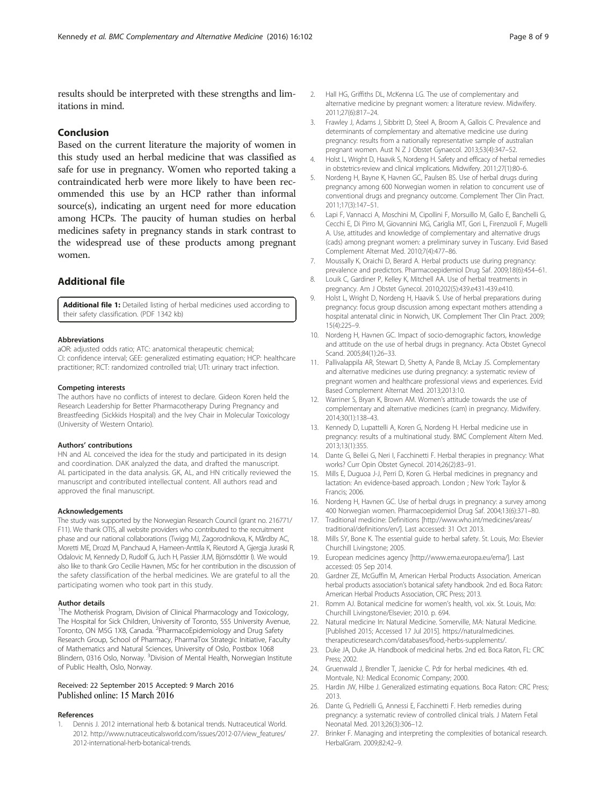<span id="page-7-0"></span>results should be interpreted with these strengths and limitations in mind.

# Conclusion

Based on the current literature the majority of women in this study used an herbal medicine that was classified as safe for use in pregnancy. Women who reported taking a contraindicated herb were more likely to have been recommended this use by an HCP rather than informal source(s), indicating an urgent need for more education among HCPs. The paucity of human studies on herbal medicines safety in pregnancy stands in stark contrast to the widespread use of these products among pregnant women.

#### Additional file

[Additional file 1:](dx.doi.org/10.1186/s12906-016-1079-z) Detailed listing of herbal medicines used according to their safety classification. (PDF 1342 kb)

#### Abbreviations

aOR: adjusted odds ratio; ATC: anatomical therapeutic chemical; CI: confidence interval; GEE: generalized estimating equation; HCP: healthcare practitioner; RCT: randomized controlled trial; UTI: urinary tract infection.

#### Competing interests

The authors have no conflicts of interest to declare. Gideon Koren held the Research Leadership for Better Pharmacotherapy During Pregnancy and Breastfeeding (Sickkids Hospital) and the Ivey Chair in Molecular Toxicology (University of Western Ontario).

#### Authors' contributions

HN and AL conceived the idea for the study and participated in its design and coordination. DAK analyzed the data, and drafted the manuscript. AL participated in the data analysis. GK, AL, and HN critically reviewed the manuscript and contributed intellectual content. All authors read and approved the final manuscript.

#### Acknowledgements

The study was supported by the Norwegian Research Council (grant no. 216771/ F11). We thank OTIS, all website providers who contributed to the recruitment phase and our national collaborations (Twigg MJ, Zagorodnikova, K, Mårdby AC, Moretti ME, Drozd M, Panchaud A, Hameen-Anttila K, Rieutord A, Gjergja Juraski R, Odalovic M, Kennedy D, Rudolf G, Juch H, Passier JLM, Björnsdóttir I). We would also like to thank Gro Cecilie Havnen, MSc for her contribution in the discussion of the safety classification of the herbal medicines. We are grateful to all the participating women who took part in this study.

#### Author details

<sup>1</sup>The Motherisk Program, Division of Clinical Pharmacology and Toxicology, The Hospital for Sick Children, University of Toronto, 555 University Avenue, Toronto, ON M5G 1X8, Canada. <sup>2</sup>PharmacoEpidemiology and Drug Safety Research Group, School of Pharmacy, PharmaTox Strategic Initiative, Faculty of Mathematics and Natural Sciences, University of Oslo, Postbox 1068 Blindern, 0316 Oslo, Norway. <sup>3</sup>Division of Mental Health, Norwegian Institute of Public Health, Oslo, Norway.

#### Received: 22 September 2015 Accepted: 9 March 2016 Published online: 15 March 2016

#### References

Dennis J. 2012 international herb & botanical trends. Nutraceutical World. 2012. [http://www.nutraceuticalsworld.com/issues/2012-07/view\\_features/](http://www.nutraceuticalsworld.com/issues/2012-07/view_features/2012-international-herb-botanical-trends) [2012-international-herb-botanical-trends](http://www.nutraceuticalsworld.com/issues/2012-07/view_features/2012-international-herb-botanical-trends).

- 2. Hall HG, Griffiths DL, McKenna LG. The use of complementary and alternative medicine by pregnant women: a literature review. Midwifery. 2011;27(6):817–24.
- 3. Frawley J, Adams J, Sibbritt D, Steel A, Broom A, Gallois C. Prevalence and determinants of complementary and alternative medicine use during pregnancy: results from a nationally representative sample of australian pregnant women. Aust N Z J Obstet Gynaecol. 2013;53(4):347–52.
- 4. Holst L, Wright D, Haavik S, Nordeng H. Safety and efficacy of herbal remedies in obstetrics-review and clinical implications. Midwifery. 2011;27(1):80–6.
- 5. Nordeng H, Bayne K, Havnen GC, Paulsen BS. Use of herbal drugs during pregnancy among 600 Norwegian women in relation to concurrent use of conventional drugs and pregnancy outcome. Complement Ther Clin Pract. 2011;17(3):147–51.
- 6. Lapi F, Vannacci A, Moschini M, Cipollini F, Morsuillo M, Gallo E, Banchelli G, Cecchi E, Di Pirro M, Giovannini MG, Cariglia MT, Gori L, Firenzuoli F, Mugelli A. Use, attitudes and knowledge of complementary and alternative drugs (cads) among pregnant women: a preliminary survey in Tuscany. Evid Based Complement Alternat Med. 2010;7(4):477–86.
- 7. Moussally K, Oraichi D, Berard A. Herbal products use during pregnancy: prevalence and predictors. Pharmacoepidemiol Drug Saf. 2009;18(6):454–61.
- 8. Louik C, Gardiner P, Kelley K, Mitchell AA. Use of herbal treatments in pregnancy. Am J Obstet Gynecol. 2010;202(5):439.e431-439.e410.
- 9. Holst L, Wright D, Nordeng H, Haavik S. Use of herbal preparations during pregnancy: focus group discussion among expectant mothers attending a hospital antenatal clinic in Norwich, UK. Complement Ther Clin Pract. 2009;  $15(4) \cdot 225 - 9$
- 10. Nordeng H, Havnen GC. Impact of socio-demographic factors, knowledge and attitude on the use of herbal drugs in pregnancy. Acta Obstet Gynecol Scand. 2005;84(1):26–33.
- 11. Pallivalappila AR, Stewart D, Shetty A, Pande B, McLay JS. Complementary and alternative medicines use during pregnancy: a systematic review of pregnant women and healthcare professional views and experiences. Evid Based Complement Alternat Med. 2013;2013:10.
- 12. Warriner S, Bryan K, Brown AM. Women's attitude towards the use of complementary and alternative medicines (cam) in pregnancy. Midwifery. 2014;30(1):138–43.
- 13. Kennedy D, Lupattelli A, Koren G, Nordeng H. Herbal medicine use in pregnancy: results of a multinational study. BMC Complement Altern Med. 2013;13(1):355.
- 14. Dante G, Bellei G, Neri I, Facchinetti F. Herbal therapies in pregnancy: What works? Curr Opin Obstet Gynecol. 2014;26(2):83–91.
- 15. Mills E, Duguoa J-J, Perri D, Koren G. Herbal medicines in pregnancy and lactation: An evidence-based approach. London ; New York: Taylor & Francis; 2006.
- 16. Nordeng H, Havnen GC. Use of herbal drugs in pregnancy: a survey among 400 Norwegian women. Pharmacoepidemiol Drug Saf. 2004;13(6):371–80.
- 17. Traditional medicine: Definitions [[http://www.who.int/medicines/areas/](http://www.who.int/medicines/areas/traditional/definitions/en/) [traditional/definitions/en/\]](http://www.who.int/medicines/areas/traditional/definitions/en/). Last accessed: 31 Oct 2013.
- 18. Mills SY, Bone K. The essential guide to herbal safety. St. Louis, Mo: Elsevier Churchill Livingstone; 2005.
- 19. European medicines agency [<http://www.ema.europa.eu/ema/>]. Last accessed: 05 Sep 2014.
- 20. Gardner ZE, McGuffin M, American Herbal Products Association. American herbal products association's botanical safety handbook. 2nd ed. Boca Raton: American Herbal Products Association, CRC Press; 2013.
- 21. Romm AJ. Botanical medicine for women's health, vol. xix. St. Louis, Mo: Churchill Livingstone/Elsevier; 2010. p. 694.
- 22. Natural medicine In: Natural Medicine. Somerville, MA: Natural Medicine. [Published 2015; Accessed 17 Jul 2015]. [https://naturalmedicines.](https://naturalmedicines.therapeuticresearch.com/databases/food,-herbs-supplements/) [therapeuticresearch.com/databases/food,-herbs-supplements/.](https://naturalmedicines.therapeuticresearch.com/databases/food,-herbs-supplements/)
- 23. Duke JA, Duke JA. Handbook of medicinal herbs. 2nd ed. Boca Raton, FL: CRC Press; 2002.
- 24. Gruenwald J, Brendler T, Jaenicke C. Pdr for herbal medicines. 4th ed. Montvale, NJ: Medical Economic Company; 2000.
- 25. Hardin JW, Hilbe J. Generalized estimating equations. Boca Raton: CRC Press; 2013.
- 26. Dante G, Pedrielli G, Annessi E, Facchinetti F. Herb remedies during pregnancy: a systematic review of controlled clinical trials. J Matern Fetal Neonatal Med. 2013;26(3):306–12.
- 27. Brinker F. Managing and interpreting the complexities of botanical research. HerbalGram. 2009;82:42–9.